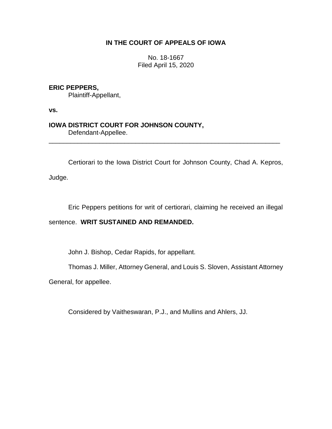# **IN THE COURT OF APPEALS OF IOWA**

No. 18-1667 Filed April 15, 2020

# **ERIC PEPPERS,**

Plaintiff-Appellant,

**vs.**

# **IOWA DISTRICT COURT FOR JOHNSON COUNTY,** Defendant-Appellee.

Certiorari to the Iowa District Court for Johnson County, Chad A. Kepros,

\_\_\_\_\_\_\_\_\_\_\_\_\_\_\_\_\_\_\_\_\_\_\_\_\_\_\_\_\_\_\_\_\_\_\_\_\_\_\_\_\_\_\_\_\_\_\_\_\_\_\_\_\_\_\_\_\_\_\_\_\_\_\_\_

Judge.

Eric Peppers petitions for writ of certiorari, claiming he received an illegal

### sentence. **WRIT SUSTAINED AND REMANDED.**

John J. Bishop, Cedar Rapids, for appellant.

Thomas J. Miller, Attorney General, and Louis S. Sloven, Assistant Attorney

General, for appellee.

Considered by Vaitheswaran, P.J., and Mullins and Ahlers, JJ.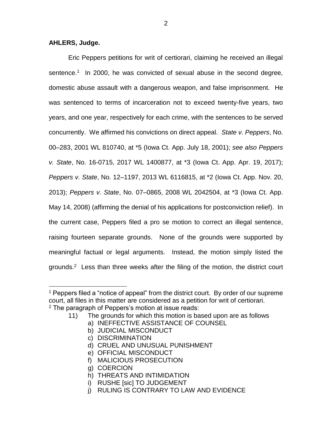### **AHLERS, Judge.**

 $\overline{a}$ 

Eric Peppers petitions for writ of certiorari, claiming he received an illegal sentence.<sup>1</sup> In 2000, he was convicted of sexual abuse in the second degree, domestic abuse assault with a dangerous weapon, and false imprisonment. He was sentenced to terms of incarceration not to exceed twenty-five years, two years, and one year, respectively for each crime, with the sentences to be served concurrently. We affirmed his convictions on direct appeal. *State v. Peppers*, No. 00–283, 2001 WL 810740, at \*5 (Iowa Ct. App. July 18, 2001); *see also Peppers v. State*, No. 16-0715, 2017 WL 1400877, at \*3 (Iowa Ct. App. Apr. 19, 2017); *Peppers v. State*, No. 12–1197, 2013 WL 6116815, at \*2 (Iowa Ct. App. Nov. 20, 2013); *Peppers v. State*, No. 07–0865, 2008 WL 2042504, at \*3 (Iowa Ct. App. May 14, 2008) (affirming the denial of his applications for postconviction relief). In the current case, Peppers filed a pro se motion to correct an illegal sentence, raising fourteen separate grounds. None of the grounds were supported by meaningful factual or legal arguments. Instead, the motion simply listed the grounds.<sup>2</sup> Less than three weeks after the filing of the motion, the district court

- 11) The grounds for which this motion is based upon are as follows
	- a) INEFFECTIVE ASSISTANCE OF COUNSEL
	- b) JUDICIAL MISCONDUCT
	- c) DISCRIMINATION
	- d) CRUEL AND UNUSUAL PUNISHMENT
	- e) OFFICIAL MISCONDUCT
	- f) MALICIOUS PROSECUTION
	- g) COERCION
	- h) THREATS AND INTIMIDATION
	- i) RUSHE [sic] TO JUDGEMENT
	- j) RULING IS CONTRARY TO LAW AND EVIDENCE

<sup>&</sup>lt;sup>1</sup> Peppers filed a "notice of appeal" from the district court. By order of our supreme court, all files in this matter are considered as a petition for writ of certiorari.  $2$  The paragraph of Peppers's motion at issue reads: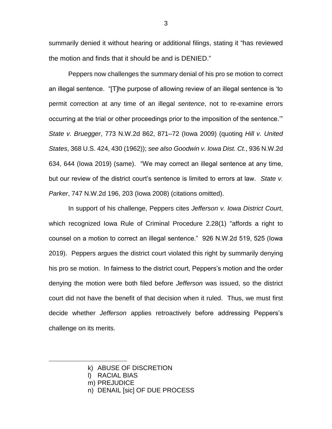summarily denied it without hearing or additional filings, stating it "has reviewed the motion and finds that it should be and is DENIED."

Peppers now challenges the summary denial of his pro se motion to correct an illegal sentence. "[T]he purpose of allowing review of an illegal sentence is 'to permit correction at any time of an illegal *sentence*, not to re-examine errors occurring at the trial or other proceedings prior to the imposition of the sentence.'" *State v. Bruegger*, 773 N.W.2d 862, 871–72 (Iowa 2009) (quoting *Hill v. United States*, 368 U.S. 424, 430 (1962)); *see also Goodwin v. Iowa Dist. Ct.*, 936 N.W.2d 634, 644 (Iowa 2019) (same). "We may correct an illegal sentence at any time, but our review of the district court's sentence is limited to errors at law. *State v. Parker*, 747 N.W.2d 196, 203 (Iowa 2008) (citations omitted).

In support of his challenge, Peppers cites *Jefferson v. Iowa District Court*, which recognized Iowa Rule of Criminal Procedure 2.28(1) "affords a right to counsel on a motion to correct an illegal sentence." 926 N.W.2d 519, 525 (Iowa 2019). Peppers argues the district court violated this right by summarily denying his pro se motion. In fairness to the district court, Peppers's motion and the order denying the motion were both filed before *Jefferson* was issued, so the district court did not have the benefit of that decision when it ruled. Thus, we must first decide whether *Jefferson* applies retroactively before addressing Peppers's challenge on its merits.

 $\overline{a}$ 

k) ABUSE OF DISCRETION

l) RACIAL BIAS

m) PREJUDICE

n) DENAIL [sic] OF DUE PROCESS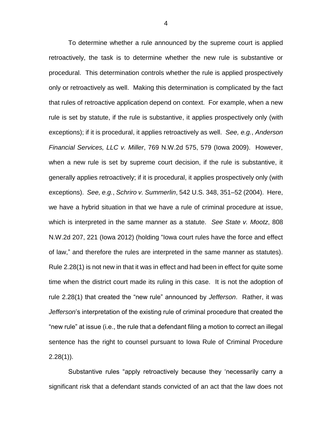To determine whether a rule announced by the supreme court is applied retroactively, the task is to determine whether the new rule is substantive or procedural. This determination controls whether the rule is applied prospectively only or retroactively as well. Making this determination is complicated by the fact that rules of retroactive application depend on context. For example, when a new rule is set by statute, if the rule is substantive, it applies prospectively only (with exceptions); if it is procedural, it applies retroactively as well. *See, e.g.*, *Anderson Financial Services, LLC v. Miller*, 769 N.W.2d 575, 579 (Iowa 2009). However, when a new rule is set by supreme court decision, if the rule is substantive, it generally applies retroactively; if it is procedural, it applies prospectively only (with exceptions). *See, e.g.*, *Schriro v. Summerlin*, 542 U.S. 348, 351–52 (2004). Here, we have a hybrid situation in that we have a rule of criminal procedure at issue, which is interpreted in the same manner as a statute. *See State v. Mootz*, 808 N.W.2d 207, 221 (Iowa 2012) (holding "Iowa court rules have the force and effect of law," and therefore the rules are interpreted in the same manner as statutes). Rule 2.28(1) is not new in that it was in effect and had been in effect for quite some time when the district court made its ruling in this case. It is not the adoption of rule 2.28(1) that created the "new rule" announced by *Jefferson*. Rather, it was *Jefferson*'s interpretation of the existing rule of criminal procedure that created the "new rule" at issue (i.e., the rule that a defendant filing a motion to correct an illegal sentence has the right to counsel pursuant to Iowa Rule of Criminal Procedure  $2.28(1)$ ).

Substantive rules "apply retroactively because they 'necessarily carry a significant risk that a defendant stands convicted of an act that the law does not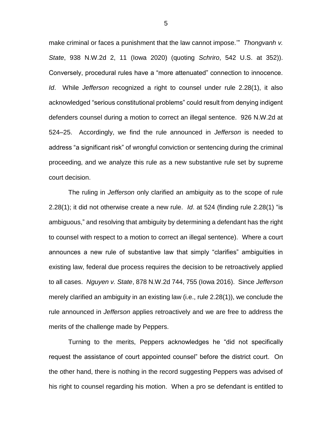make criminal or faces a punishment that the law cannot impose.'" *Thongvanh v. State*, 938 N.W.2d 2, 11 (Iowa 2020) (quoting *Schriro*, 542 U.S. at 352)). Conversely, procedural rules have a "more attenuated" connection to innocence. *Id*. While *Jefferson* recognized a right to counsel under rule 2.28(1), it also acknowledged "serious constitutional problems" could result from denying indigent defenders counsel during a motion to correct an illegal sentence. 926 N.W.2d at 524–25. Accordingly, we find the rule announced in *Jefferson* is needed to address "a significant risk" of wrongful conviction or sentencing during the criminal proceeding, and we analyze this rule as a new substantive rule set by supreme court decision.

The ruling in *Jefferson* only clarified an ambiguity as to the scope of rule 2.28(1); it did not otherwise create a new rule. *Id*. at 524 (finding rule 2.28(1) "is ambiguous," and resolving that ambiguity by determining a defendant has the right to counsel with respect to a motion to correct an illegal sentence). Where a court announces a new rule of substantive law that simply "clarifies" ambiguities in existing law, federal due process requires the decision to be retroactively applied to all cases. *Nguyen v. State*, 878 N.W.2d 744, 755 (Iowa 2016). Since *Jefferson* merely clarified an ambiguity in an existing law (i.e., rule 2.28(1)), we conclude the rule announced in *Jefferson* applies retroactively and we are free to address the merits of the challenge made by Peppers.

Turning to the merits, Peppers acknowledges he "did not specifically request the assistance of court appointed counsel" before the district court. On the other hand, there is nothing in the record suggesting Peppers was advised of his right to counsel regarding his motion. When a pro se defendant is entitled to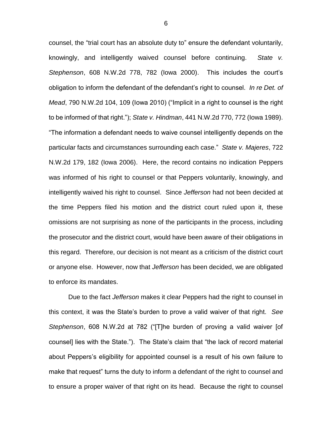counsel, the "trial court has an absolute duty to" ensure the defendant voluntarily, knowingly, and intelligently waived counsel before continuing. *State v. Stephenson*, 608 N.W.2d 778, 782 (Iowa 2000). This includes the court's obligation to inform the defendant of the defendant's right to counsel. *In re Det. of Mead*, 790 N.W.2d 104, 109 (Iowa 2010) ("Implicit in a right to counsel is the right to be informed of that right."); *State v. Hindman*, 441 N.W.2d 770, 772 (Iowa 1989). "The information a defendant needs to waive counsel intelligently depends on the particular facts and circumstances surrounding each case." *State v. Majeres*, 722 N.W.2d 179, 182 (Iowa 2006). Here, the record contains no indication Peppers was informed of his right to counsel or that Peppers voluntarily, knowingly, and intelligently waived his right to counsel. Since *Jefferson* had not been decided at the time Peppers filed his motion and the district court ruled upon it, these omissions are not surprising as none of the participants in the process, including the prosecutor and the district court, would have been aware of their obligations in this regard. Therefore, our decision is not meant as a criticism of the district court or anyone else. However, now that *Jefferson* has been decided, we are obligated to enforce its mandates.

Due to the fact *Jefferson* makes it clear Peppers had the right to counsel in this context, it was the State's burden to prove a valid waiver of that right. *See Stephenson*, 608 N.W.2d at 782 ("[T]he burden of proving a valid waiver [of counsel] lies with the State."). The State's claim that "the lack of record material about Peppers's eligibility for appointed counsel is a result of his own failure to make that request" turns the duty to inform a defendant of the right to counsel and to ensure a proper waiver of that right on its head. Because the right to counsel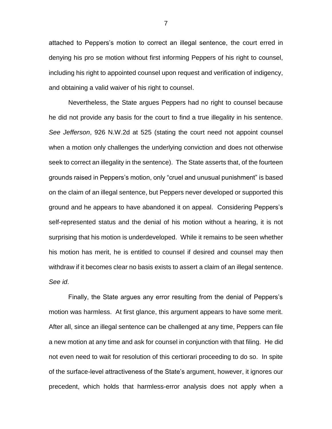attached to Peppers's motion to correct an illegal sentence, the court erred in denying his pro se motion without first informing Peppers of his right to counsel, including his right to appointed counsel upon request and verification of indigency, and obtaining a valid waiver of his right to counsel.

Nevertheless, the State argues Peppers had no right to counsel because he did not provide any basis for the court to find a true illegality in his sentence. *See Jefferson*, 926 N.W.2d at 525 (stating the court need not appoint counsel when a motion only challenges the underlying conviction and does not otherwise seek to correct an illegality in the sentence). The State asserts that, of the fourteen grounds raised in Peppers's motion, only "cruel and unusual punishment" is based on the claim of an illegal sentence, but Peppers never developed or supported this ground and he appears to have abandoned it on appeal. Considering Peppers's self-represented status and the denial of his motion without a hearing, it is not surprising that his motion is underdeveloped. While it remains to be seen whether his motion has merit, he is entitled to counsel if desired and counsel may then withdraw if it becomes clear no basis exists to assert a claim of an illegal sentence. *See id*.

Finally, the State argues any error resulting from the denial of Peppers's motion was harmless. At first glance, this argument appears to have some merit. After all, since an illegal sentence can be challenged at any time, Peppers can file a new motion at any time and ask for counsel in conjunction with that filing. He did not even need to wait for resolution of this certiorari proceeding to do so. In spite of the surface-level attractiveness of the State's argument, however, it ignores our precedent, which holds that harmless-error analysis does not apply when a

7